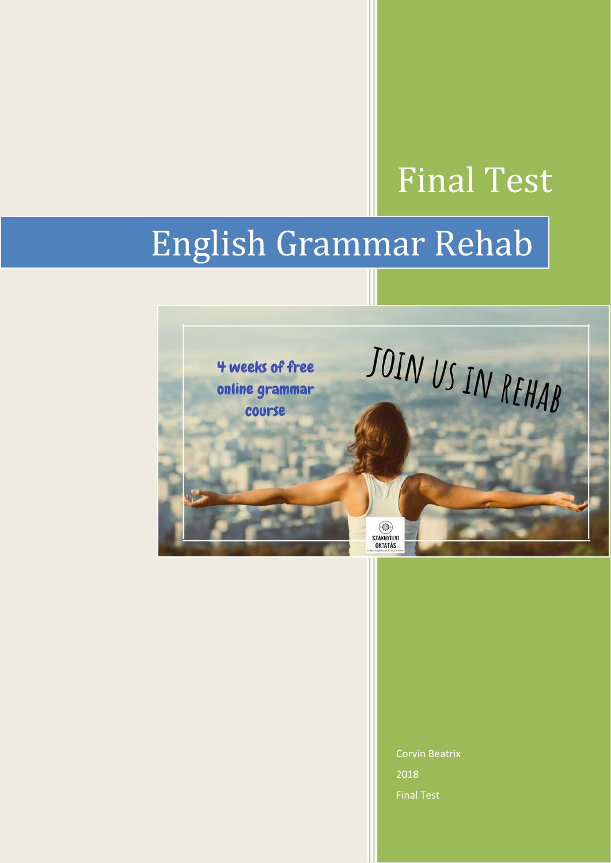# Final Test

# English Grammar Rehab



Corvin Beatrix 2018 Final Test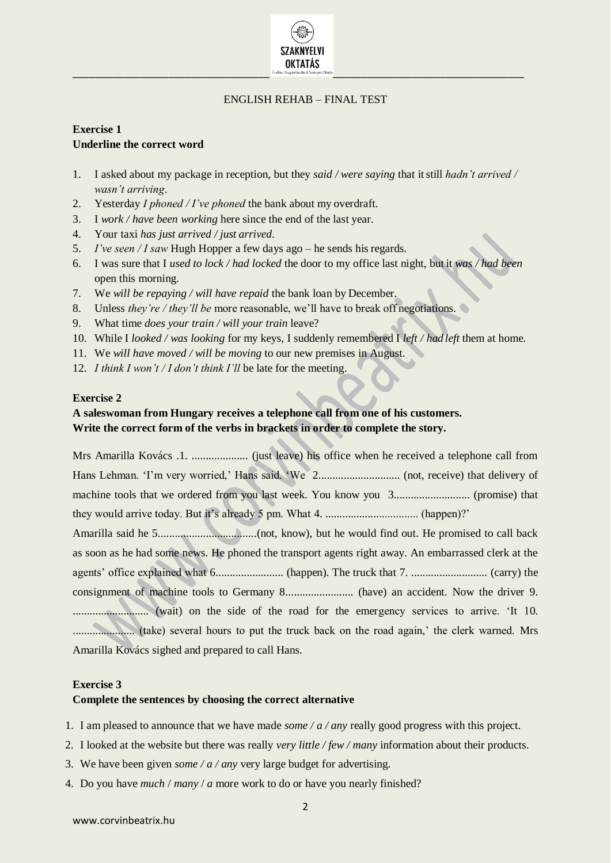

#### ENGLISH REHAB – FINAL TEST

# **Exercise 1 Underline the correct word**

- 1. I asked about my package in reception, but they *said / were saying* that itstill *hadn't arrived / wasn't arriving*.
- 2. Yesterday *I phoned / I've phoned* the bank about my overdraft.
- 3. I *work / have been working* here since the end of the last year.
- 4. Your taxi *has just arrived / just arrived*.
- 5. *I've seen / I saw* Hugh Hopper a few days ago he sends his regards.
- 6. I was sure that I *used to lock / had locked* the door to my office last night, but it *was / had been*  open this morning.
- 7. We *will be repaying / will have repaid* the bank loan by December.
- 8. Unless *they're / they'll be* more reasonable, we'll have to break off negotiations.
- 9. What time *does your train / will your train* leave?
- 10. While I *looked / was looking* for my keys, I suddenly remembered I *left / had left* them at home.
- 11. We *will have moved / will be moving* to our new premises in August.
- 12. *I think I won't / I don't think I'll* be late for the meeting.

#### **Exercise 2**

# **A saleswoman from Hungary receives a telephone call from one of his customers. Write the correct form of the verbs in brackets in order to complete the story.**

Mrs Amarilla Kovács .1. .................... (just leave) his office when he received a telephone call from Hans Lehman. 'I'm very worried,' Hans said. 'We 2............................. (not, receive) that delivery of machine tools that we ordered from you last week. You know you 3........................... (promise) that they would arrive today. But it's already 5 pm. What 4. ................................. (happen)?' Amarilla said he 5...................................(not, know), but he would find out. He promised to call back as soon as he had some news. He phoned the transport agents right away. An embarrassed clerk at the agents' office explained what 6........................ (happen). The truck that 7. ........................... (carry) the consignment of machine tools to Germany 8........................ (have) an accident. Now the driver 9. ........................... (wait) on the side of the road for the emergency services to arrive. 'It 10. ...................... (take) several hours to put the truck back on the road again,' the clerk warned. Mrs

#### **Exercise 3**

#### **Complete the sentences by choosing the correct alternative**

Amarilla Kovács sighed and prepared to call Hans.

- 1. I am pleased to announce that we have made *some / a / any* really good progress with this project.
- 2. I looked at the website but there was really *very little / few / many* information about their products.
- 3. We have been given *some / a / any* very large budget for advertising.
- 4. Do you have *much* / *many* / *a* more work to do or have you nearly finished?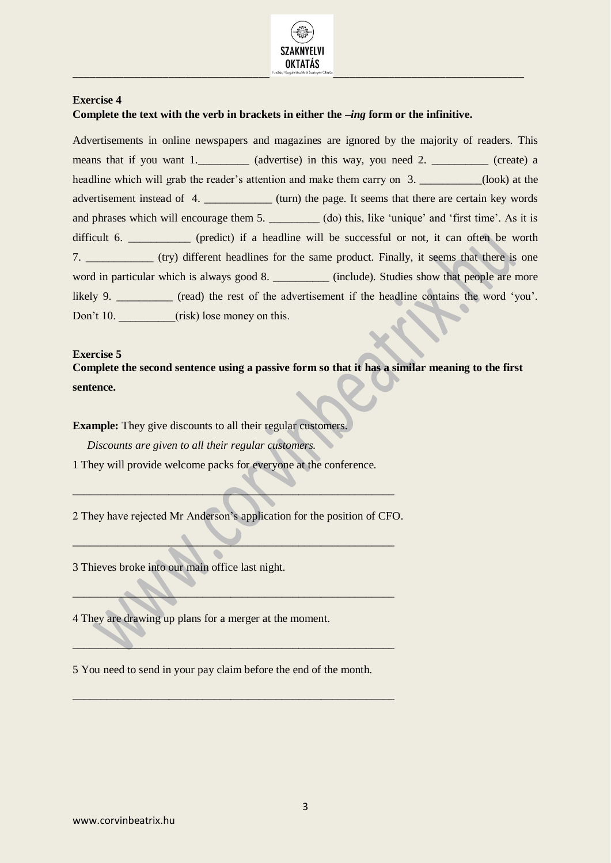

#### **Exercise 4**

#### **Complete the text with the verb in brackets in either the** *–ing* **form or the infinitive.**

Advertisements in online newspapers and magazines are ignored by the majority of readers. This means that if you want 1. (advertise) in this way, you need 2. \_\_\_\_\_\_\_\_\_ (create) a headline which will grab the reader's attention and make them carry on 3. \_\_\_\_\_\_\_\_\_(look) at the advertisement instead of 4. \_\_\_\_\_\_\_\_\_\_\_\_\_ (turn) the page. It seems that there are certain key words and phrases which will encourage them 5. \_\_\_\_\_\_\_\_\_ (do) this, like 'unique' and 'first time'. As it is difficult 6. \_\_\_\_\_\_\_\_\_\_ (predict) if a headline will be successful or not, it can often be worth 7. \_\_\_\_\_\_\_\_\_\_\_\_ (try) different headlines for the same product. Finally, it seems that there is one word in particular which is always good 8. \_\_\_\_\_\_\_\_\_\_\_ (include). Studies show that people are more likely 9. \_\_\_\_\_\_\_\_\_\_ (read) the rest of the advertisement if the headline contains the word 'you'. Don't 10. (risk) lose money on this.

#### **Exercise 5**

**Complete the second sentence using a passive form so that it has a similar meaning to the first sentence.**

**Example:** They give discounts to all their regular customers.

*Discounts are given to all their regular customers.*

1 They will provide welcome packs for everyone at the conference.

2 They have rejected Mr Anderson's application for the position of CFO.

 $\blacksquare$ 

 $\blacksquare$ 

 $\_\_\_\_\_\_\_\_\_\_\_\_$ 

\_\_\_\_\_\_\_\_\_\_\_\_\_\_\_\_\_\_\_\_\_\_\_\_\_\_\_\_\_\_\_\_\_\_\_\_\_\_\_\_\_\_\_\_\_\_\_\_\_\_\_\_\_\_\_\_\_

\_\_\_\_\_\_\_\_\_\_\_\_\_\_\_\_\_\_\_\_\_\_\_\_\_\_\_\_\_\_\_\_\_\_\_\_\_\_\_\_\_\_\_\_\_\_\_\_\_\_\_\_\_\_\_\_\_

3 Thieves broke into our main office last night.

4 They are drawing up plans for a merger at the moment.

5 You need to send in your pay claim before the end of the month.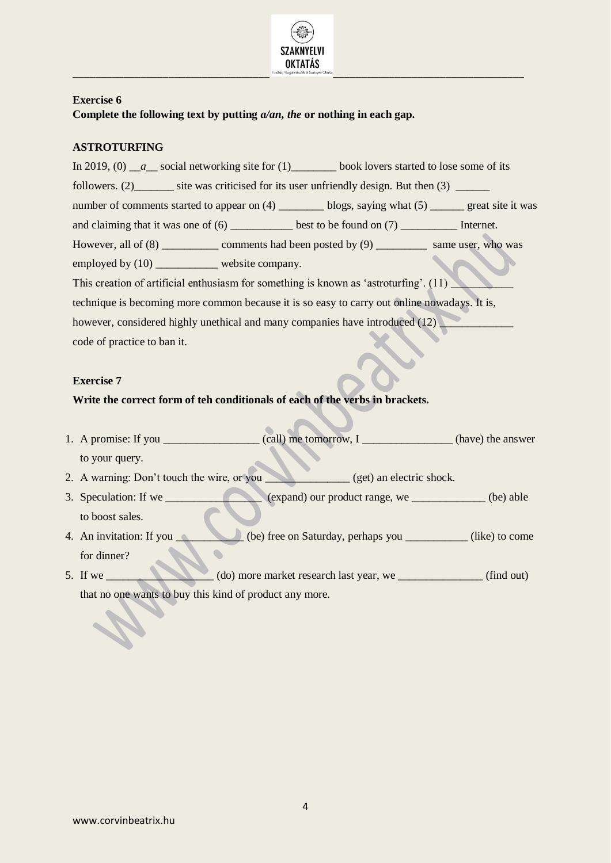

# **Exercise 6 Complete the following text by putting** *a/an***,** *the* **or nothing in each gap.**

# **ASTROTURFING**

In 2019, (0) a social networking site for (1) book lovers started to lose some of its followers. (2) \_\_\_\_\_\_\_ site was criticised for its user unfriendly design. But then (3) number of comments started to appear on (4) hlogs, saying what (5) great site it was and claiming that it was one of  $(6)$  \_\_\_\_\_\_\_\_\_\_\_\_ best to be found on  $(7)$  \_\_\_\_\_\_\_\_\_\_\_\_\_\_\_\_\_\_ Internet. However, all of (8) \_\_\_\_\_\_\_\_\_\_ comments had been posted by (9) \_\_\_\_\_\_\_\_\_ same user, who was employed by (10) website company. This creation of artificial enthusiasm for something is known as 'astroturfing'.  $(11)$ technique is becoming more common because it is so easy to carry out online nowadays. It is, however, considered highly unethical and many companies have introduced (12) code of practice to ban it.

#### **Exercise 7**

#### **Write the correct form of teh conditionals of each of the verbs in brackets.**

- 1. A promise: If you \_\_\_\_\_\_\_\_\_\_\_\_\_\_\_\_\_ (call) me tomorrow, I \_\_\_\_\_\_\_\_\_\_\_\_\_\_\_\_ (have) the answer to your query.
- 2. A warning: Don't touch the wire, or you  $(get)$  an electric shock.
- 3. Speculation: If we \_\_\_\_\_\_\_\_\_\_\_\_\_\_\_\_\_ (expand) our product range, we \_\_\_\_\_\_\_\_\_\_\_\_\_ (be) able to boost sales.
- 4. An invitation: If you \_\_\_\_\_\_\_\_\_\_\_ (be) free on Saturday, perhaps you \_\_\_\_\_\_\_\_\_ (like) to come  $\bullet$ for dinner?
- 5. If we  $\qquad \qquad$  (do) more market research last year, we  $\qquad \qquad$  (find out) that no one wants to buy this kind of product any more.